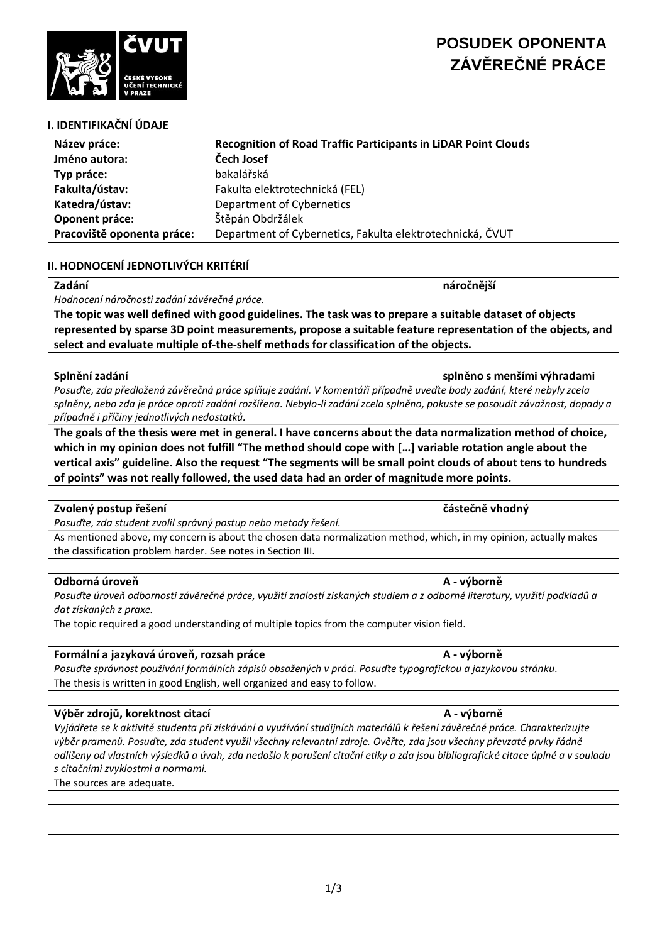

# **I. IDENTIFIKAČNÍ ÚDAJE**

| Název práce:               | <b>Recognition of Road Traffic Participants in LiDAR Point Clouds</b> |
|----------------------------|-----------------------------------------------------------------------|
| Jméno autora:              | Čech Josef                                                            |
| Typ práce:                 | bakalářská                                                            |
| Fakulta/ústav:             | Fakulta elektrotechnická (FEL)                                        |
| Katedra/ústav:             | Department of Cybernetics                                             |
| Oponent práce:             | Štěpán Obdržálek                                                      |
| Pracoviště oponenta práce: | Department of Cybernetics, Fakulta elektrotechnická, ČVUT             |

### **II. HODNOCENÍ JEDNOTLIVÝCH KRITÉRIÍ**

### **Zadání náročnější**

*Hodnocení náročnosti zadání závěrečné práce.*

**The topic was well defined with good guidelines. The task was to prepare a suitable dataset of objects represented by sparse 3D point measurements, propose a suitable feature representation of the objects, and select and evaluate multiple of-the-shelf methods for classification of the objects.**

### **Splnění zadání splněno s menšími výhradami**

*Posuďte, zda předložená závěrečná práce splňuje zadání. V komentáři případně uveďte body zadání, které nebyly zcela splněny, nebo zda je práce oproti zadání rozšířena. Nebylo-li zadání zcela splněno, pokuste se posoudit závažnost, dopady a případně i příčiny jednotlivých nedostatků.*

**The goals of the thesis were met in general. I have concerns about the data normalization method of choice, which in my opinion does not fulfill "The method should cope with […] variable rotation angle about the vertical axis" guideline. Also the request "The segments will be small point clouds of about tens to hundreds of points" was not really followed, the used data had an order of magnitude more points.**

### **Zvolený postup řešení částečně vhodný**

*Posuďte, zda student zvolil správný postup nebo metody řešení.*

As mentioned above, my concern is about the chosen data normalization method, which, in my opinion, actually makes the classification problem harder. See notes in Section III.

### **Odborná úroveň A - výborně**

*Posuďte úroveň odbornosti závěrečné práce, využití znalostí získaných studiem a z odborné literatury, využití podkladů a dat získaných z praxe.*

The topic required a good understanding of multiple topics from the computer vision field.

### **Formální a jazyková úroveň, rozsah práce A - výborně**

*Posuďte správnost používání formálních zápisů obsažených v práci. Posuďte typografickou a jazykovou stránku.* The thesis is written in good English, well organized and easy to follow.

### **Výběr zdrojů, korektnost citací A - výborně**

*Vyjádřete se k aktivitě studenta při získávání a využívání studijních materiálů k řešení závěrečné práce. Charakterizujte výběr pramenů. Posuďte, zda student využil všechny relevantní zdroje. Ověřte, zda jsou všechny převzaté prvky řádně odlišeny od vlastních výsledků a úvah, zda nedošlo k porušení citační etiky a zda jsou bibliografické citace úplné a v souladu s citačními zvyklostmi a normami.*

### The sources are adequate.



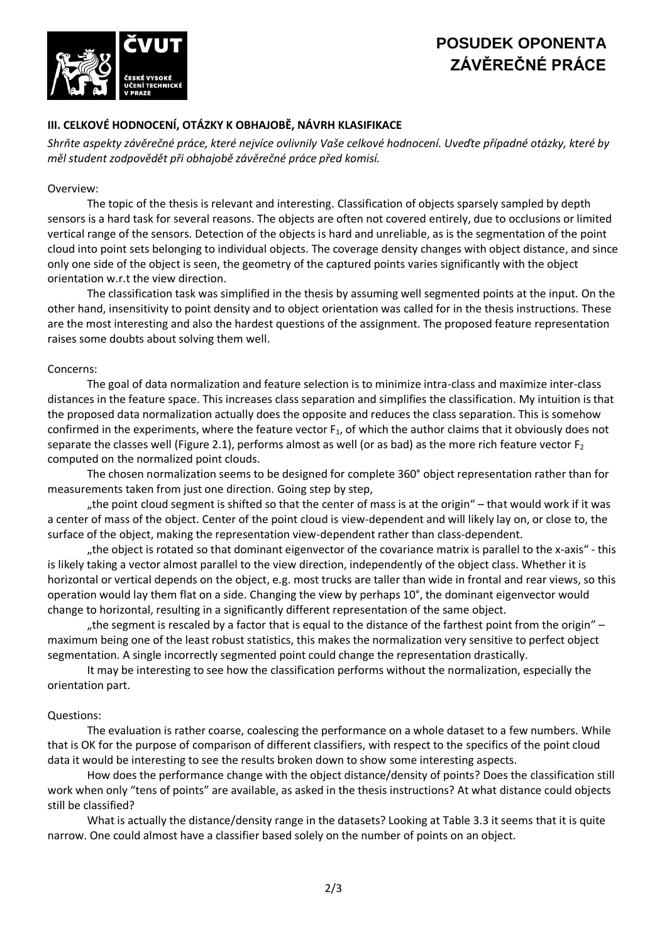# **POSUDEK OPONENTA ZÁVĚREČNÉ PRÁCE**



## **III. CELKOVÉ HODNOCENÍ, OTÁZKY K OBHAJOBĚ, NÁVRH KLASIFIKACE**

*Shrňte aspekty závěrečné práce, které nejvíce ovlivnily Vaše celkové hodnocení. Uveďte případné otázky, které by měl student zodpovědět při obhajobě závěrečné práce před komisí.*

### Overview:

The topic of the thesis is relevant and interesting. Classification of objects sparsely sampled by depth sensors is a hard task for several reasons. The objects are often not covered entirely, due to occlusions or limited vertical range of the sensors. Detection of the objects is hard and unreliable, as is the segmentation of the point cloud into point sets belonging to individual objects. The coverage density changes with object distance, and since only one side of the object is seen, the geometry of the captured points varies significantly with the object orientation w.r.t the view direction.

The classification task was simplified in the thesis by assuming well segmented points at the input. On the other hand, insensitivity to point density and to object orientation was called for in the thesis instructions. These are the most interesting and also the hardest questions of the assignment. The proposed feature representation raises some doubts about solving them well.

### Concerns:

The goal of data normalization and feature selection is to minimize intra-class and maximize inter-class distances in the feature space. This increases class separation and simplifies the classification. My intuition is that the proposed data normalization actually does the opposite and reduces the class separation. This is somehow confirmed in the experiments, where the feature vector  $F_1$ , of which the author claims that it obviously does not separate the classes well (Figure 2.1), performs almost as well (or as bad) as the more rich feature vector  $F_2$ computed on the normalized point clouds.

The chosen normalization seems to be designed for complete 360° object representation rather than for measurements taken from just one direction. Going step by step,

"the point cloud segment is shifted so that the center of mass is at the origin" – that would work if it was a center of mass of the object. Center of the point cloud is view-dependent and will likely lay on, or close to, the surface of the object, making the representation view-dependent rather than class-dependent.

"the object is rotated so that dominant eigenvector of the covariance matrix is parallel to the x-axis" - this is likely taking a vector almost parallel to the view direction, independently of the object class. Whether it is horizontal or vertical depends on the object, e.g. most trucks are taller than wide in frontal and rear views, so this operation would lay them flat on a side. Changing the view by perhaps 10°, the dominant eigenvector would change to horizontal, resulting in a significantly different representation of the same object.

"the segment is rescaled by a factor that is equal to the distance of the farthest point from the origin"  $$ maximum being one of the least robust statistics, this makes the normalization very sensitive to perfect object segmentation. A single incorrectly segmented point could change the representation drastically.

It may be interesting to see how the classification performs without the normalization, especially the orientation part.

### Questions:

The evaluation is rather coarse, coalescing the performance on a whole dataset to a few numbers. While that is OK for the purpose of comparison of different classifiers, with respect to the specifics of the point cloud data it would be interesting to see the results broken down to show some interesting aspects.

How does the performance change with the object distance/density of points? Does the classification still work when only "tens of points" are available, as asked in the thesis instructions? At what distance could objects still be classified?

What is actually the distance/density range in the datasets? Looking at Table 3.3 it seems that it is quite narrow. One could almost have a classifier based solely on the number of points on an object.